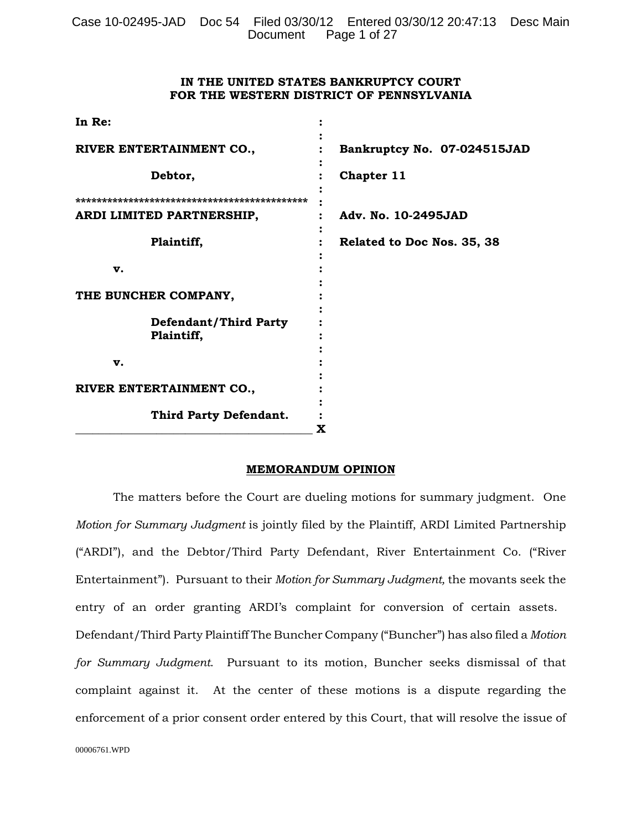# **IN THE UNITED STATES BANKRUPTCY COURT FOR THE WESTERN DISTRICT OF PENNSYLVANIA**

| In Re:                                     |                             |  |  |
|--------------------------------------------|-----------------------------|--|--|
| RIVER ENTERTAINMENT CO.,                   | Bankruptcy No. 07-024515JAD |  |  |
| Debtor,                                    | Chapter 11                  |  |  |
| ARDI LIMITED PARTNERSHIP,                  | Adv. No. 10-2495JAD         |  |  |
| Plaintiff,                                 | Related to Doc Nos. 35, 38  |  |  |
| v.                                         |                             |  |  |
| THE BUNCHER COMPANY,                       |                             |  |  |
| <b>Defendant/Third Party</b><br>Plaintiff, |                             |  |  |
| v.                                         |                             |  |  |
| RIVER ENTERTAINMENT CO.,                   |                             |  |  |
| Third Party Defendant.                     | X                           |  |  |
|                                            |                             |  |  |

#### **MEMORANDUM OPINION**

The matters before the Court are dueling motions for summary judgment. One *Motion for Summary Judgment* is jointly filed by the Plaintiff, ARDI Limited Partnership ("ARDI"), and the Debtor/Third Party Defendant, River Entertainment Co. ("River Entertainment"). Pursuant to their *Motion for Summary Judgment,* the movants seek the entry of an order granting ARDI's complaint for conversion of certain assets. Defendant/Third Party Plaintiff The Buncher Company ("Buncher") has also filed a *Motion for Summary Judgment*. Pursuant to its motion, Buncher seeks dismissal of that complaint against it. At the center of these motions is a dispute regarding the enforcement of a prior consent order entered by this Court, that will resolve the issue of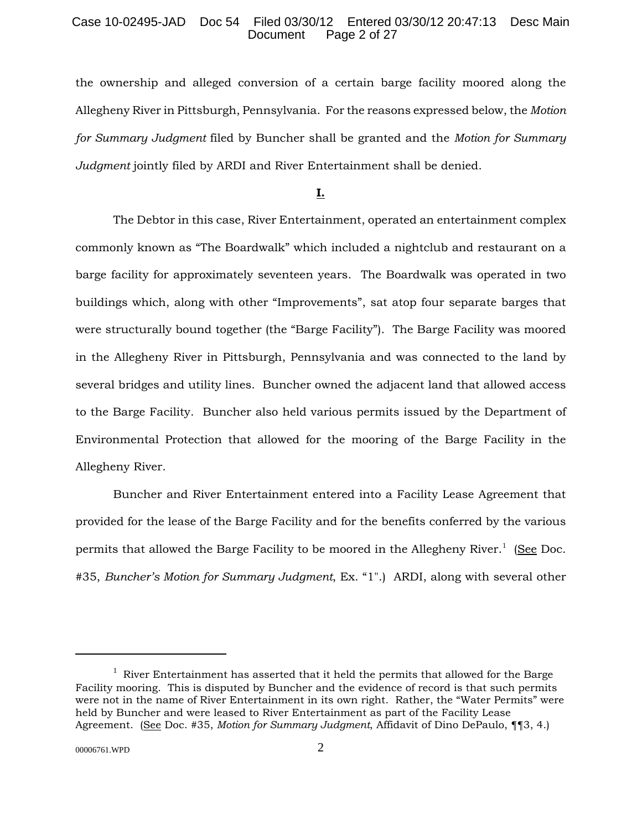### Case 10-02495-JAD Doc 54 Filed 03/30/12 Entered 03/30/12 20:47:13 Desc Main Page 2 of 27

the ownership and alleged conversion of a certain barge facility moored along the Allegheny River in Pittsburgh, Pennsylvania. For the reasons expressed below, the *Motion for Summary Judgment* filed by Buncher shall be granted and the *Motion for Summary Judgment* jointly filed by ARDI and River Entertainment shall be denied.

# **I.**

The Debtor in this case, River Entertainment, operated an entertainment complex commonly known as "The Boardwalk" which included a nightclub and restaurant on a barge facility for approximately seventeen years. The Boardwalk was operated in two buildings which, along with other "Improvements", sat atop four separate barges that were structurally bound together (the "Barge Facility"). The Barge Facility was moored in the Allegheny River in Pittsburgh, Pennsylvania and was connected to the land by several bridges and utility lines. Buncher owned the adjacent land that allowed access to the Barge Facility. Buncher also held various permits issued by the Department of Environmental Protection that allowed for the mooring of the Barge Facility in the Allegheny River.

Buncher and River Entertainment entered into a Facility Lease Agreement that provided for the lease of the Barge Facility and for the benefits conferred by the various permits that allowed the Barge Facility to be moored in the Allegheny River.<sup>1</sup> (See Doc. #35, *Buncher's Motion for Summary Judgment*, Ex. "1".) ARDI, along with several other

 $1$  River Entertainment has asserted that it held the permits that allowed for the Barge Facility mooring. This is disputed by Buncher and the evidence of record is that such permits were not in the name of River Entertainment in its own right. Rather, the "Water Permits" were held by Buncher and were leased to River Entertainment as part of the Facility Lease Agreement. (See Doc. #35, *Motion for Summary Judgment*, Affidavit of Dino DePaulo, ¶¶3, 4.)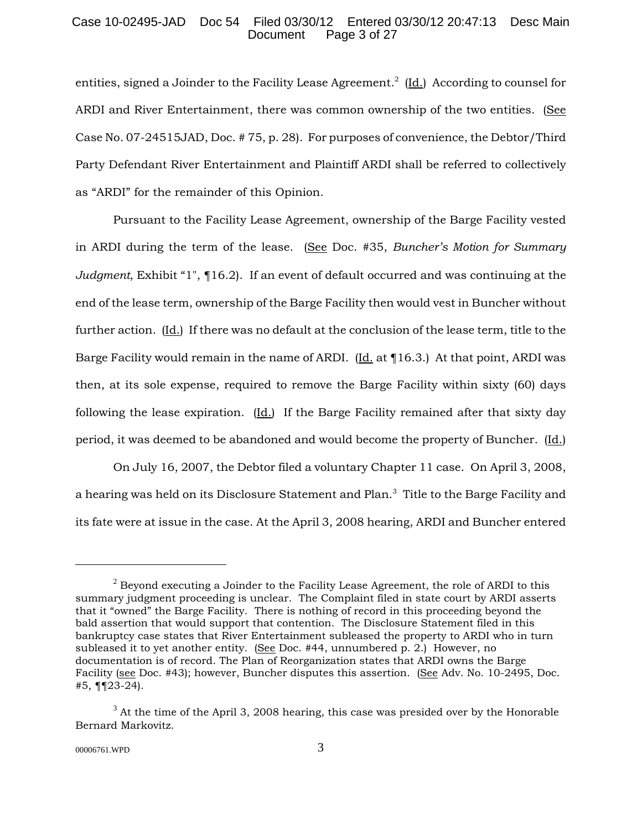## Case 10-02495-JAD Doc 54 Filed 03/30/12 Entered 03/30/12 20:47:13 Desc Main Page 3 of 27

entities, signed a Joinder to the Facility Lease Agreement.<sup>2</sup> (Id.) According to counsel for ARDI and River Entertainment, there was common ownership of the two entities. (See Case No. 07-24515JAD, Doc. # 75, p. 28). For purposes of convenience, the Debtor/Third Party Defendant River Entertainment and Plaintiff ARDI shall be referred to collectively as "ARDI" for the remainder of this Opinion.

Pursuant to the Facility Lease Agreement, ownership of the Barge Facility vested in ARDI during the term of the lease. (See Doc. #35, *Buncher's Motion for Summary Judgment*, Exhibit "1", ¶16.2). If an event of default occurred and was continuing at the end of the lease term, ownership of the Barge Facility then would vest in Buncher without further action. (Id.) If there was no default at the conclusion of the lease term, title to the Barge Facility would remain in the name of ARDI. (Id. at ¶16.3.) At that point, ARDI was then, at its sole expense, required to remove the Barge Facility within sixty (60) days following the lease expiration. (Id.) If the Barge Facility remained after that sixty day period, it was deemed to be abandoned and would become the property of Buncher. (Id.)

On July 16, 2007, the Debtor filed a voluntary Chapter 11 case. On April 3, 2008, a hearing was held on its Disclosure Statement and Plan. $^3\,$  Title to the Barge Facility and its fate were at issue in the case. At the April 3, 2008 hearing, ARDI and Buncher entered

 $2$  Beyond executing a Joinder to the Facility Lease Agreement, the role of ARDI to this summary judgment proceeding is unclear. The Complaint filed in state court by ARDI asserts that it "owned" the Barge Facility. There is nothing of record in this proceeding beyond the bald assertion that would support that contention. The Disclosure Statement filed in this bankruptcy case states that River Entertainment subleased the property to ARDI who in turn subleased it to yet another entity. (See Doc.  $#44$ , unnumbered p. 2.) However, no documentation is of record. The Plan of Reorganization states that ARDI owns the Barge Facility (see Doc. #43); however, Buncher disputes this assertion. (See Adv. No. 10-2495, Doc. #5, ¶¶23-24).

 $3$  At the time of the April 3, 2008 hearing, this case was presided over by the Honorable Bernard Markovitz.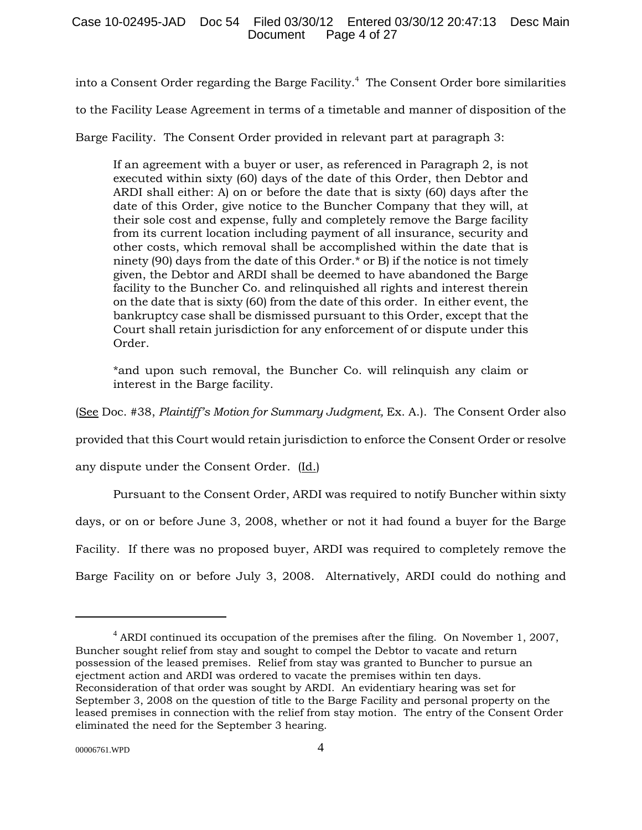into a Consent Order regarding the Barge Facility.<sup>4</sup> The Consent Order bore similarities

to the Facility Lease Agreement in terms of a timetable and manner of disposition of the

Barge Facility. The Consent Order provided in relevant part at paragraph 3:

If an agreement with a buyer or user, as referenced in Paragraph 2, is not executed within sixty (60) days of the date of this Order, then Debtor and ARDI shall either: A) on or before the date that is sixty (60) days after the date of this Order, give notice to the Buncher Company that they will, at their sole cost and expense, fully and completely remove the Barge facility from its current location including payment of all insurance, security and other costs, which removal shall be accomplished within the date that is ninety (90) days from the date of this Order.\* or B) if the notice is not timely given, the Debtor and ARDI shall be deemed to have abandoned the Barge facility to the Buncher Co. and relinquished all rights and interest therein on the date that is sixty (60) from the date of this order. In either event, the bankruptcy case shall be dismissed pursuant to this Order, except that the Court shall retain jurisdiction for any enforcement of or dispute under this Order.

\*and upon such removal, the Buncher Co. will relinquish any claim or interest in the Barge facility.

(See Doc. #38, *Plaintiff's Motion for Summary Judgment,* Ex. A.). The Consent Order also

provided that this Court would retain jurisdiction to enforce the Consent Order or resolve

any dispute under the Consent Order. (Id.)

Pursuant to the Consent Order, ARDI was required to notify Buncher within sixty

days, or on or before June 3, 2008, whether or not it had found a buyer for the Barge

Facility. If there was no proposed buyer, ARDI was required to completely remove the

Barge Facility on or before July 3, 2008. Alternatively, ARDI could do nothing and

 $4$  ARDI continued its occupation of the premises after the filing. On November 1, 2007, Buncher sought relief from stay and sought to compel the Debtor to vacate and return possession of the leased premises. Relief from stay was granted to Buncher to pursue an ejectment action and ARDI was ordered to vacate the premises within ten days. Reconsideration of that order was sought by ARDI. An evidentiary hearing was set for September 3, 2008 on the question of title to the Barge Facility and personal property on the leased premises in connection with the relief from stay motion. The entry of the Consent Order eliminated the need for the September 3 hearing.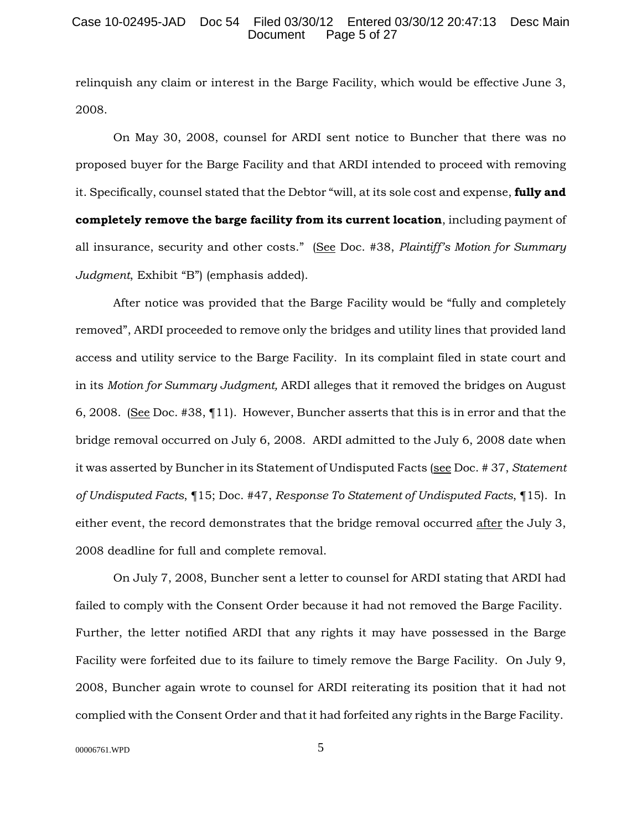#### Case 10-02495-JAD Doc 54 Filed 03/30/12 Entered 03/30/12 20:47:13 Desc Main Page 5 of 27

relinquish any claim or interest in the Barge Facility, which would be effective June 3, 2008.

On May 30, 2008, counsel for ARDI sent notice to Buncher that there was no proposed buyer for the Barge Facility and that ARDI intended to proceed with removing it. Specifically, counsel stated that the Debtor "will, at its sole cost and expense, **fully and completely remove the barge facility from its current location**, including payment of all insurance, security and other costs." (See Doc. #38, *Plaintiff's Motion for Summary Judgment*, Exhibit "B") (emphasis added).

After notice was provided that the Barge Facility would be "fully and completely removed", ARDI proceeded to remove only the bridges and utility lines that provided land access and utility service to the Barge Facility. In its complaint filed in state court and in its *Motion for Summary Judgment,* ARDI alleges that it removed the bridges on August 6, 2008. (See Doc. #38, ¶11). However, Buncher asserts that this is in error and that the bridge removal occurred on July 6, 2008. ARDI admitted to the July 6, 2008 date when it was asserted by Buncher in its Statement of Undisputed Facts (see Doc. # 37, *Statement of Undisputed Facts*, ¶15; Doc. #47, *Response To Statement of Undisputed Facts*, ¶15). In either event, the record demonstrates that the bridge removal occurred after the July 3, 2008 deadline for full and complete removal.

On July 7, 2008, Buncher sent a letter to counsel for ARDI stating that ARDI had failed to comply with the Consent Order because it had not removed the Barge Facility. Further, the letter notified ARDI that any rights it may have possessed in the Barge Facility were forfeited due to its failure to timely remove the Barge Facility. On July 9, 2008, Buncher again wrote to counsel for ARDI reiterating its position that it had not complied with the Consent Order and that it had forfeited any rights in the Barge Facility.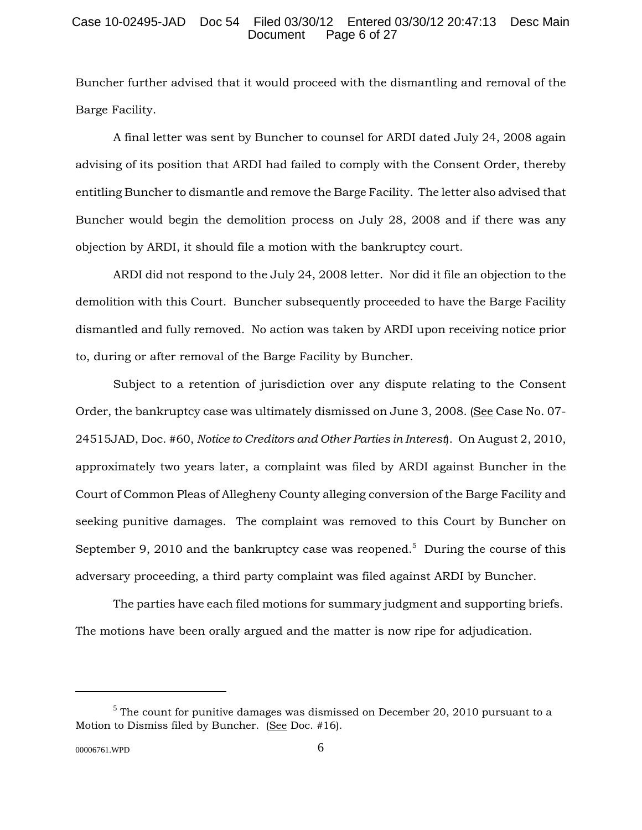### Case 10-02495-JAD Doc 54 Filed 03/30/12 Entered 03/30/12 20:47:13 Desc Main Page 6 of 27

Buncher further advised that it would proceed with the dismantling and removal of the Barge Facility.

A final letter was sent by Buncher to counsel for ARDI dated July 24, 2008 again advising of its position that ARDI had failed to comply with the Consent Order, thereby entitling Buncher to dismantle and remove the Barge Facility. The letter also advised that Buncher would begin the demolition process on July 28, 2008 and if there was any objection by ARDI, it should file a motion with the bankruptcy court.

ARDI did not respond to the July 24, 2008 letter. Nor did it file an objection to the demolition with this Court. Buncher subsequently proceeded to have the Barge Facility dismantled and fully removed. No action was taken by ARDI upon receiving notice prior to, during or after removal of the Barge Facility by Buncher.

Subject to a retention of jurisdiction over any dispute relating to the Consent Order, the bankruptcy case was ultimately dismissed on June 3, 2008. (See Case No. 07- 24515JAD, Doc. #60, *Notice to Creditors and Other Parties in Interest*). On August 2, 2010, approximately two years later, a complaint was filed by ARDI against Buncher in the Court of Common Pleas of Allegheny County alleging conversion of the Barge Facility and seeking punitive damages. The complaint was removed to this Court by Buncher on September 9, 2010 and the bankruptcy case was reopened.<sup>5</sup> During the course of this adversary proceeding, a third party complaint was filed against ARDI by Buncher.

The parties have each filed motions for summary judgment and supporting briefs. The motions have been orally argued and the matter is now ripe for adjudication.

 $<sup>5</sup>$  The count for punitive damages was dismissed on December 20, 2010 pursuant to a</sup> Motion to Dismiss filed by Buncher. (See Doc. #16).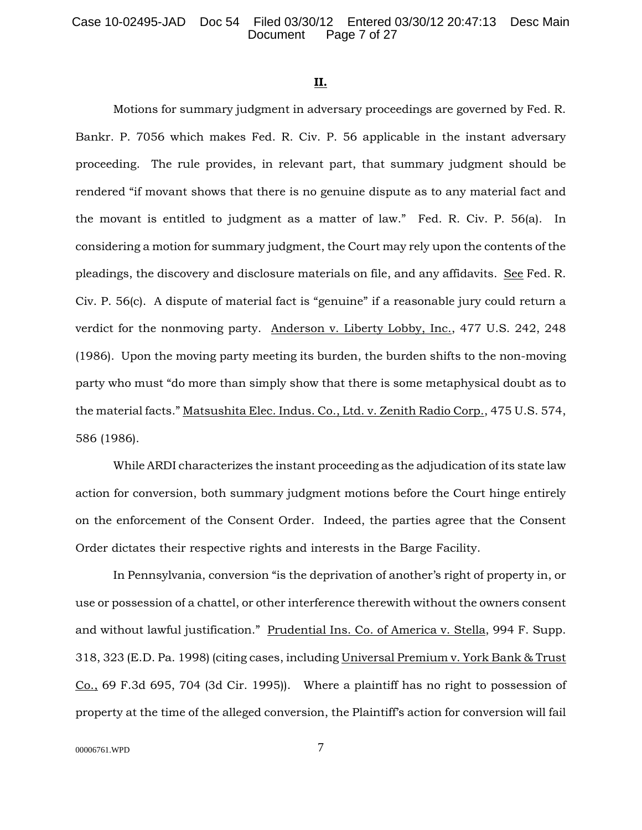### **II.**

Motions for summary judgment in adversary proceedings are governed by Fed. R. Bankr. P. 7056 which makes Fed. R. Civ. P. 56 applicable in the instant adversary proceeding. The rule provides, in relevant part, that summary judgment should be rendered "if movant shows that there is no genuine dispute as to any material fact and the movant is entitled to judgment as a matter of law." Fed. R. Civ. P. 56(a). In considering a motion for summary judgment, the Court may rely upon the contents of the pleadings, the discovery and disclosure materials on file, and any affidavits. See Fed. R. Civ. P. 56(c). A dispute of material fact is "genuine" if a reasonable jury could return a verdict for the nonmoving party. Anderson v. Liberty Lobby, Inc., 477 U.S. 242, 248 (1986). Upon the moving party meeting its burden, the burden shifts to the non-moving party who must "do more than simply show that there is some metaphysical doubt as to the material facts." Matsushita Elec. Indus. Co., Ltd. v. Zenith Radio Corp., 475 U.S. 574, 586 (1986).

While ARDI characterizes the instant proceeding as the adjudication of its state law action for conversion, both summary judgment motions before the Court hinge entirely on the enforcement of the Consent Order. Indeed, the parties agree that the Consent Order dictates their respective rights and interests in the Barge Facility.

In Pennsylvania, conversion "is the deprivation of another's right of property in, or use or possession of a chattel, or other interference therewith without the owners consent and without lawful justification." Prudential Ins. Co. of America v. Stella, 994 F. Supp. 318, 323 (E.D. Pa. 1998) (citing cases, including Universal Premium v. York Bank & Trust Co., 69 F.3d 695, 704 (3d Cir. 1995)). Where a plaintiff has no right to possession of property at the time of the alleged conversion, the Plaintiff's action for conversion will fail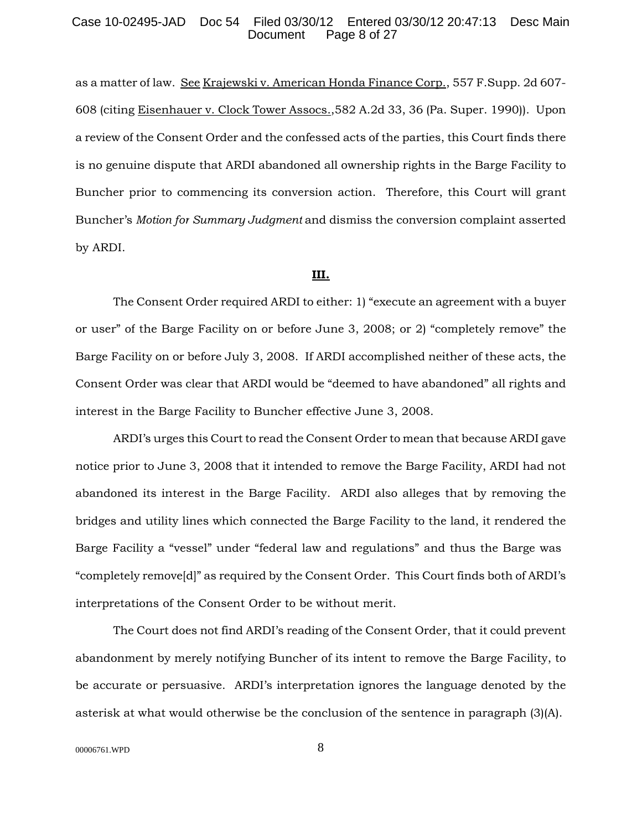#### Case 10-02495-JAD Doc 54 Filed 03/30/12 Entered 03/30/12 20:47:13 Desc Main Page 8 of 27

as a matter of law. See Krajewski v. American Honda Finance Corp., 557 F.Supp. 2d 607- 608 (citing Eisenhauer v. Clock Tower Assocs.,582 A.2d 33, 36 (Pa. Super. 1990)). Upon a review of the Consent Order and the confessed acts of the parties, this Court finds there is no genuine dispute that ARDI abandoned all ownership rights in the Barge Facility to Buncher prior to commencing its conversion action. Therefore, this Court will grant Buncher's *Motion for Summary Judgment* and dismiss the conversion complaint asserted by ARDI.

#### **III.**

The Consent Order required ARDI to either: 1) "execute an agreement with a buyer or user" of the Barge Facility on or before June 3, 2008; or 2) "completely remove" the Barge Facility on or before July 3, 2008. If ARDI accomplished neither of these acts, the Consent Order was clear that ARDI would be "deemed to have abandoned" all rights and interest in the Barge Facility to Buncher effective June 3, 2008.

ARDI's urges this Court to read the Consent Order to mean that because ARDI gave notice prior to June 3, 2008 that it intended to remove the Barge Facility, ARDI had not abandoned its interest in the Barge Facility. ARDI also alleges that by removing the bridges and utility lines which connected the Barge Facility to the land, it rendered the Barge Facility a "vessel" under "federal law and regulations" and thus the Barge was "completely remove[d]" as required by the Consent Order. This Court finds both of ARDI's interpretations of the Consent Order to be without merit.

The Court does not find ARDI's reading of the Consent Order, that it could prevent abandonment by merely notifying Buncher of its intent to remove the Barge Facility, to be accurate or persuasive. ARDI's interpretation ignores the language denoted by the asterisk at what would otherwise be the conclusion of the sentence in paragraph (3)(A).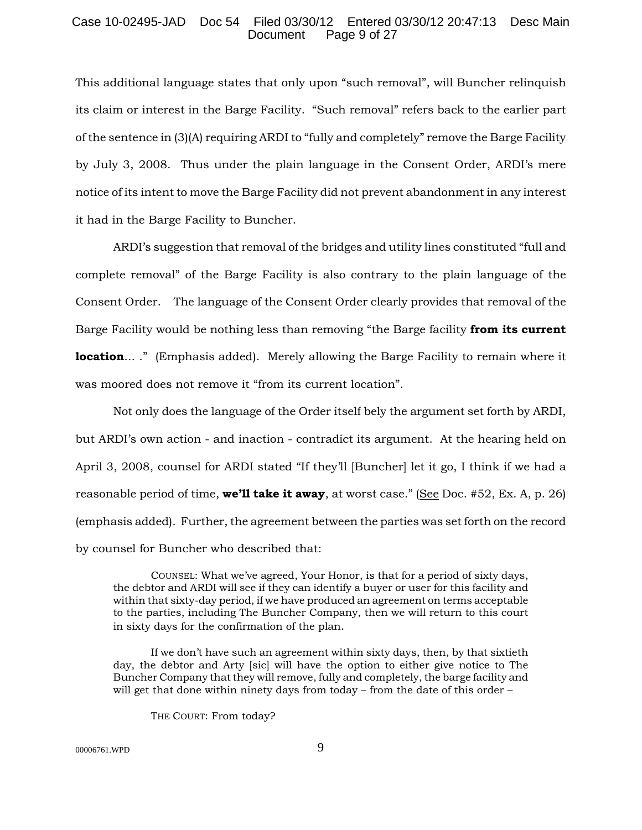### Case 10-02495-JAD Doc 54 Filed 03/30/12 Entered 03/30/12 20:47:13 Desc Main Document Page 9 of 27

This additional language states that only upon "such removal", will Buncher relinquish its claim or interest in the Barge Facility. "Such removal" refers back to the earlier part of the sentence in (3)(A) requiring ARDI to "fully and completely" remove the Barge Facility by July 3, 2008. Thus under the plain language in the Consent Order, ARDI's mere notice of its intent to move the Barge Facility did not prevent abandonment in any interest it had in the Barge Facility to Buncher.

ARDI's suggestion that removal of the bridges and utility lines constituted "full and complete removal" of the Barge Facility is also contrary to the plain language of the Consent Order. The language of the Consent Order clearly provides that removal of the Barge Facility would be nothing less than removing "the Barge facility **from its current location...**." (Emphasis added). Merely allowing the Barge Facility to remain where it was moored does not remove it "from its current location".

Not only does the language of the Order itself bely the argument set forth by ARDI, but ARDI's own action - and inaction - contradict its argument. At the hearing held on April 3, 2008, counsel for ARDI stated "If they'll [Buncher] let it go, I think if we had a reasonable period of time, **we'll take it away**, at worst case." (See Doc. #52, Ex. A, p. 26) (emphasis added). Further, the agreement between the parties was set forth on the record by counsel for Buncher who described that:

COUNSEL: What we've agreed, Your Honor, is that for a period of sixty days, the debtor and ARDI will see if they can identify a buyer or user for this facility and within that sixty-day period, if we have produced an agreement on terms acceptable to the parties, including The Buncher Company, then we will return to this court in sixty days for the confirmation of the plan.

If we don't have such an agreement within sixty days, then, by that sixtieth day, the debtor and Arty [sic] will have the option to either give notice to The Buncher Company that they will remove, fully and completely, the barge facility and will get that done within ninety days from today – from the date of this order –

THE COURT: From today?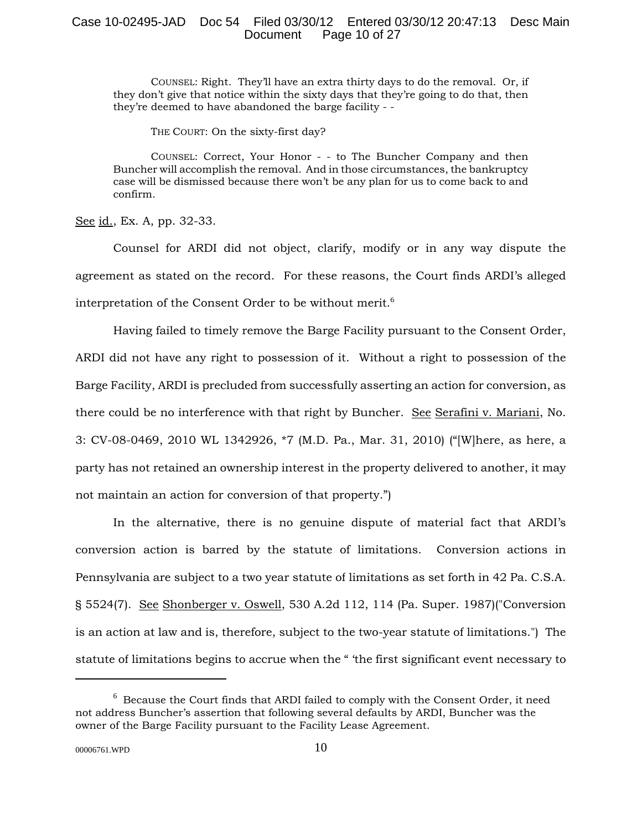# Case 10-02495-JAD Doc 54 Filed 03/30/12 Entered 03/30/12 20:47:13 Desc Main Document Page 10 of 27

COUNSEL: Right. They'll have an extra thirty days to do the removal. Or, if they don't give that notice within the sixty days that they're going to do that, then they're deemed to have abandoned the barge facility - -

THE COURT: On the sixty-first day?

COUNSEL: Correct, Your Honor - - to The Buncher Company and then Buncher will accomplish the removal. And in those circumstances, the bankruptcy case will be dismissed because there won't be any plan for us to come back to and confirm.

See id., Ex. A, pp. 32-33.

Counsel for ARDI did not object, clarify, modify or in any way dispute the agreement as stated on the record. For these reasons, the Court finds ARDI's alleged interpretation of the Consent Order to be without merit.<sup>6</sup>

Having failed to timely remove the Barge Facility pursuant to the Consent Order, ARDI did not have any right to possession of it. Without a right to possession of the Barge Facility, ARDI is precluded from successfully asserting an action for conversion, as there could be no interference with that right by Buncher. See Serafini v. Mariani, No. 3: CV-08-0469, 2010 WL 1342926, \*7 (M.D. Pa., Mar. 31, 2010) ("[W]here, as here, a party has not retained an ownership interest in the property delivered to another, it may not maintain an action for conversion of that property.")

In the alternative, there is no genuine dispute of material fact that ARDI's conversion action is barred by the statute of limitations. Conversion actions in Pennsylvania are subject to a two year statute of limitations as set forth in 42 Pa. C.S.A. § 5524(7). See Shonberger v. Oswell, 530 A.2d 112, 114 (Pa. Super. 1987)("Conversion is an action at law and is, therefore, subject to the two-year statute of limitations.") The statute of limitations begins to accrue when the " 'the first significant event necessary to

 $^6$  Because the Court finds that ARDI failed to comply with the Consent Order, it need not address Buncher's assertion that following several defaults by ARDI, Buncher was the owner of the Barge Facility pursuant to the Facility Lease Agreement.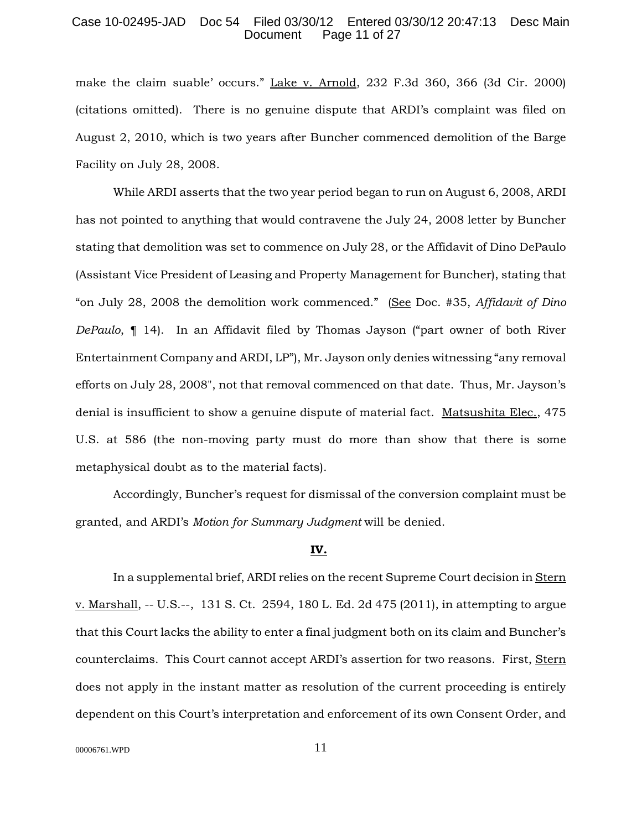### Case 10-02495-JAD Doc 54 Filed 03/30/12 Entered 03/30/12 20:47:13 Desc Main Page 11 of 27

make the claim suable' occurs." Lake v. Arnold, 232 F.3d 360, 366 (3d Cir. 2000) (citations omitted). There is no genuine dispute that ARDI's complaint was filed on August 2, 2010, which is two years after Buncher commenced demolition of the Barge Facility on July 28, 2008.

While ARDI asserts that the two year period began to run on August 6, 2008, ARDI has not pointed to anything that would contravene the July 24, 2008 letter by Buncher stating that demolition was set to commence on July 28, or the Affidavit of Dino DePaulo (Assistant Vice President of Leasing and Property Management for Buncher), stating that "on July 28, 2008 the demolition work commenced." (See Doc. #35, *Affidavit of Dino DePaulo*, ¶ 14). In an Affidavit filed by Thomas Jayson ("part owner of both River Entertainment Company and ARDI, LP"), Mr. Jayson only denies witnessing "any removal efforts on July 28, 2008", not that removal commenced on that date. Thus, Mr. Jayson's denial is insufficient to show a genuine dispute of material fact. Matsushita Elec., 475 U.S. at 586 (the non-moving party must do more than show that there is some metaphysical doubt as to the material facts).

Accordingly, Buncher's request for dismissal of the conversion complaint must be granted, and ARDI's *Motion for Summary Judgment* will be denied.

# **IV.**

In a supplemental brief, ARDI relies on the recent Supreme Court decision in Stern v. Marshall, -- U.S.--, 131 S. Ct. 2594, 180 L. Ed. 2d 475 (2011), in attempting to argue that this Court lacks the ability to enter a final judgment both on its claim and Buncher's counterclaims. This Court cannot accept ARDI's assertion for two reasons. First, Stern does not apply in the instant matter as resolution of the current proceeding is entirely dependent on this Court's interpretation and enforcement of its own Consent Order, and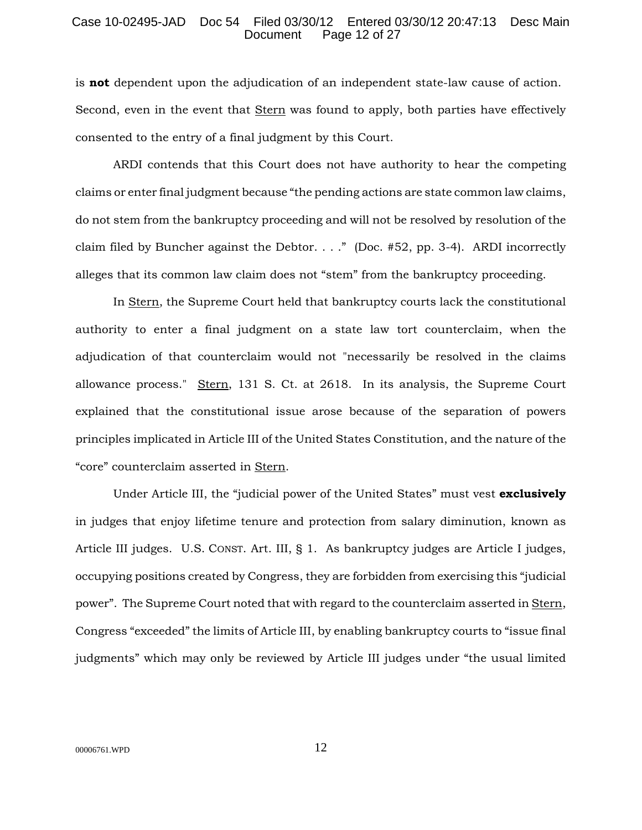### Case 10-02495-JAD Doc 54 Filed 03/30/12 Entered 03/30/12 20:47:13 Desc Main Page 12 of 27

is **not** dependent upon the adjudication of an independent state-law cause of action. Second, even in the event that Stern was found to apply, both parties have effectively consented to the entry of a final judgment by this Court.

ARDI contends that this Court does not have authority to hear the competing claims or enter final judgment because "the pending actions are state common law claims, do not stem from the bankruptcy proceeding and will not be resolved by resolution of the claim filed by Buncher against the Debtor. . . ." (Doc. #52, pp. 3-4). ARDI incorrectly alleges that its common law claim does not "stem" from the bankruptcy proceeding.

In Stern, the Supreme Court held that bankruptcy courts lack the constitutional authority to enter a final judgment on a state law tort counterclaim, when the adjudication of that counterclaim would not "necessarily be resolved in the claims allowance process." Stern, 131 S. Ct. at 2618. In its analysis, the Supreme Court explained that the constitutional issue arose because of the separation of powers principles implicated in Article III of the United States Constitution, and the nature of the "core" counterclaim asserted in Stern.

Under Article III, the "judicial power of the United States" must vest **exclusively** in judges that enjoy lifetime tenure and protection from salary diminution, known as Article III judges. U.S. CONST. Art. III, § 1. As bankruptcy judges are Article I judges, occupying positions created by Congress, they are forbidden from exercising this "judicial power". The Supreme Court noted that with regard to the counterclaim asserted in Stern, Congress "exceeded" the limits of Article III, by enabling bankruptcy courts to "issue final judgments" which may only be reviewed by Article III judges under "the usual limited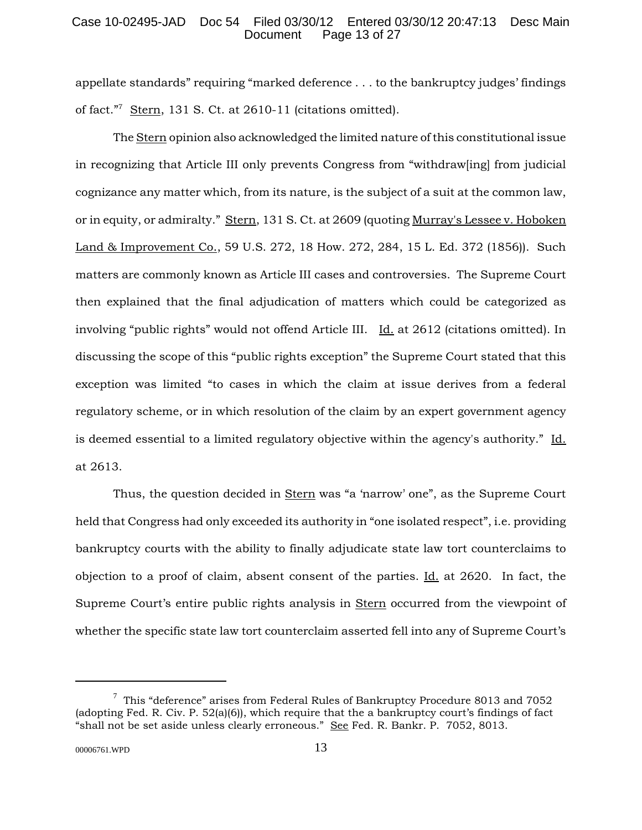# Case 10-02495-JAD Doc 54 Filed 03/30/12 Entered 03/30/12 20:47:13 Desc Main Page 13 of 27

appellate standards" requiring "marked deference . . . to the bankruptcy judges' findings of fact."<sup>7</sup> Stern, 131 S. Ct. at 2610-11 (citations omitted).

The Stern opinion also acknowledged the limited nature of this constitutional issue in recognizing that Article III only prevents Congress from "withdraw[ing] from judicial cognizance any matter which, from its nature, is the subject of a suit at the common law, or in equity, or admiralty." Stern, 131 S. Ct. at 2609 (quoting Murray's Lessee v. Hoboken Land & Improvement Co., 59 U.S. 272, 18 How. 272, 284, 15 L. Ed. 372 (1856)). Such matters are commonly known as Article III cases and controversies. The Supreme Court then explained that the final adjudication of matters which could be categorized as involving "public rights" would not offend Article III. Id. at 2612 (citations omitted). In discussing the scope of this "public rights exception" the Supreme Court stated that this exception was limited "to cases in which the claim at issue derives from a federal regulatory scheme, or in which resolution of the claim by an expert government agency is deemed essential to a limited regulatory objective within the agency's authority." Id. at 2613.

Thus, the question decided in Stern was "a 'narrow' one", as the Supreme Court held that Congress had only exceeded its authority in "one isolated respect", i.e. providing bankruptcy courts with the ability to finally adjudicate state law tort counterclaims to objection to a proof of claim, absent consent of the parties. Id. at 2620. In fact, the Supreme Court's entire public rights analysis in Stern occurred from the viewpoint of whether the specific state law tort counterclaim asserted fell into any of Supreme Court's

 $^7$  This "deference" arises from Federal Rules of Bankruptcy Procedure 8013 and 7052 (adopting Fed. R. Civ. P. 52(a)(6)), which require that the a bankruptcy court's findings of fact "shall not be set aside unless clearly erroneous." See Fed. R. Bankr. P. 7052, 8013.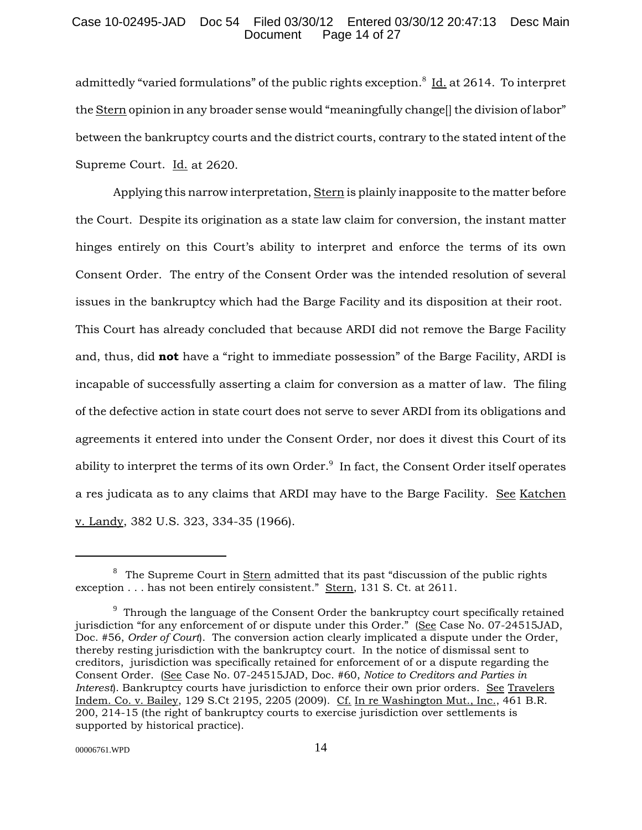## Case 10-02495-JAD Doc 54 Filed 03/30/12 Entered 03/30/12 20:47:13 Desc Main Page 14 of 27

admittedly "varied formulations" of the public rights exception.<sup>8</sup> Id. at 2614. To interpret the Stern opinion in any broader sense would "meaningfully change[] the division of labor" between the bankruptcy courts and the district courts, contrary to the stated intent of the Supreme Court. Id. at 2620.

Applying this narrow interpretation, Stern is plainly inapposite to the matter before the Court. Despite its origination as a state law claim for conversion, the instant matter hinges entirely on this Court's ability to interpret and enforce the terms of its own Consent Order. The entry of the Consent Order was the intended resolution of several issues in the bankruptcy which had the Barge Facility and its disposition at their root. This Court has already concluded that because ARDI did not remove the Barge Facility and, thus, did **not** have a "right to immediate possession" of the Barge Facility, ARDI is incapable of successfully asserting a claim for conversion as a matter of law. The filing of the defective action in state court does not serve to sever ARDI from its obligations and agreements it entered into under the Consent Order, nor does it divest this Court of its ability to interpret the terms of its own Order. $^9\,$  In fact, the Consent Order itself operates a res judicata as to any claims that ARDI may have to the Barge Facility. See Katchen v. Landy, 382 U.S. 323, 334-35 (1966).

 $8$  The Supreme Court in Stern admitted that its past "discussion of the public rights exception . . . has not been entirely consistent." Stern, 131 S. Ct. at 2611.

 $9$  Through the language of the Consent Order the bankruptcy court specifically retained jurisdiction "for any enforcement of or dispute under this Order." (See Case No. 07-24515JAD, Doc. #56, *Order of Court*). The conversion action clearly implicated a dispute under the Order, thereby resting jurisdiction with the bankruptcy court. In the notice of dismissal sent to creditors, jurisdiction was specifically retained for enforcement of or a dispute regarding the Consent Order. (See Case No. 07-24515JAD, Doc. #60, *Notice to Creditors and Parties in Interest*). Bankruptcy courts have jurisdiction to enforce their own prior orders. See Travelers Indem. Co. v. Bailey, 129 S.Ct 2195, 2205 (2009). Cf. In re Washington Mut., Inc., 461 B.R. 200, 214-15 (the right of bankruptcy courts to exercise jurisdiction over settlements is supported by historical practice).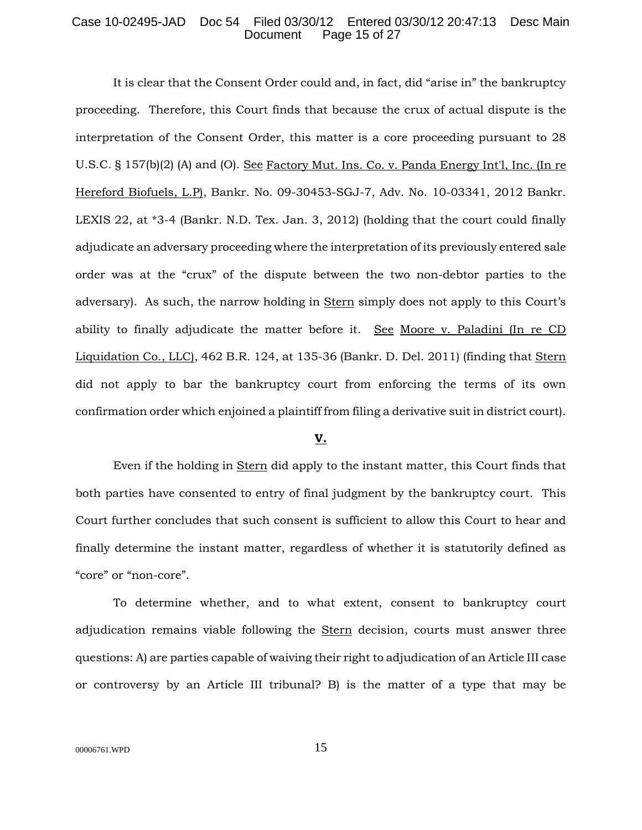# Case 10-02495-JAD Doc 54 Filed 03/30/12 Entered 03/30/12 20:47:13 Desc Main Page 15 of 27

It is clear that the Consent Order could and, in fact, did "arise in" the bankruptcy proceeding. Therefore, this Court finds that because the crux of actual dispute is the interpretation of the Consent Order, this matter is a core proceeding pursuant to 28 U.S.C. § 157(b)(2) (A) and (O). See Factory Mut. Ins. Co. v. Panda Energy Int'l, Inc. (In re Hereford Biofuels, L.P), Bankr. No. 09-30453-SGJ-7, Adv. No. 10-03341, 2012 Bankr. LEXIS 22, at \*3-4 (Bankr. N.D. Tex. Jan. 3, 2012) (holding that the court could finally adjudicate an adversary proceeding where the interpretation of its previously entered sale order was at the "crux" of the dispute between the two non-debtor parties to the adversary). As such, the narrow holding in Stern simply does not apply to this Court's ability to finally adjudicate the matter before it. See Moore v. Paladini (In re CD Liquidation Co., LLC), 462 B.R. 124, at 135-36 (Bankr. D. Del. 2011) (finding that Stern did not apply to bar the bankruptcy court from enforcing the terms of its own confirmation order which enjoined a plaintiff from filing a derivative suit in district court).

#### **V.**

Even if the holding in Stern did apply to the instant matter, this Court finds that both parties have consented to entry of final judgment by the bankruptcy court. This Court further concludes that such consent is sufficient to allow this Court to hear and finally determine the instant matter, regardless of whether it is statutorily defined as "core" or "non-core".

To determine whether, and to what extent, consent to bankruptcy court adjudication remains viable following the Stern decision, courts must answer three questions: A) are parties capable of waiving their right to adjudication of an Article III case or controversy by an Article III tribunal? B) is the matter of a type that may be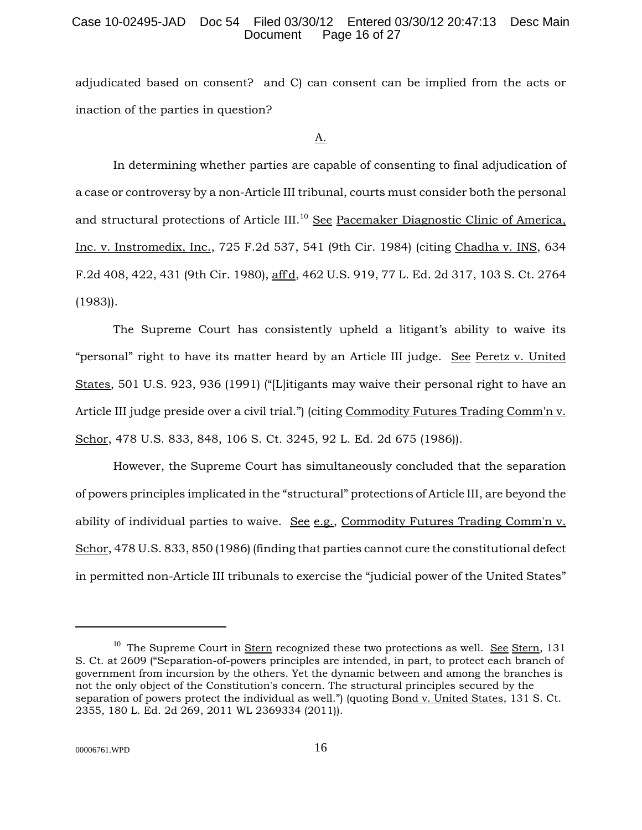# Case 10-02495-JAD Doc 54 Filed 03/30/12 Entered 03/30/12 20:47:13 Desc Main Page 16 of 27

adjudicated based on consent? and C) can consent can be implied from the acts or inaction of the parties in question?

A.

In determining whether parties are capable of consenting to final adjudication of a case or controversy by a non-Article III tribunal, courts must consider both the personal and structural protections of Article III.<sup>10</sup> See Pacemaker Diagnostic Clinic of America, Inc. v. Instromedix, Inc., 725 F.2d 537, 541 (9th Cir. 1984) (citing Chadha v. INS, 634 F.2d 408, 422, 431 (9th Cir. 1980), aff'd, 462 U.S. 919, 77 L. Ed. 2d 317, 103 S. Ct. 2764 (1983)).

The Supreme Court has consistently upheld a litigant's ability to waive its "personal" right to have its matter heard by an Article III judge. See Peretz v. United States, 501 U.S. 923, 936 (1991) ("[L]itigants may waive their personal right to have an Article III judge preside over a civil trial.") (citing Commodity Futures Trading Comm'n v. Schor, 478 U.S. 833, 848, 106 S. Ct. 3245, 92 L. Ed. 2d 675 (1986)).

However, the Supreme Court has simultaneously concluded that the separation of powers principles implicated in the "structural" protections of Article III, are beyond the ability of individual parties to waive. See e.g., Commodity Futures Trading Comm'n v. Schor, 478 U.S. 833, 850 (1986) (finding that parties cannot cure the constitutional defect in permitted non-Article III tribunals to exercise the "judicial power of the United States"

<sup>&</sup>lt;sup>10</sup> The Supreme Court in **Stern** recognized these two protections as well. See Stern, 131 S. Ct. at 2609 ("Separation-of-powers principles are intended, in part, to protect each branch of government from incursion by the others. Yet the dynamic between and among the branches is not the only object of the Constitution's concern. The structural principles secured by the separation of powers protect the individual as well.") (quoting Bond v. United States, 131 S. Ct. 2355, 180 L. Ed. 2d 269, 2011 WL 2369334 (2011)).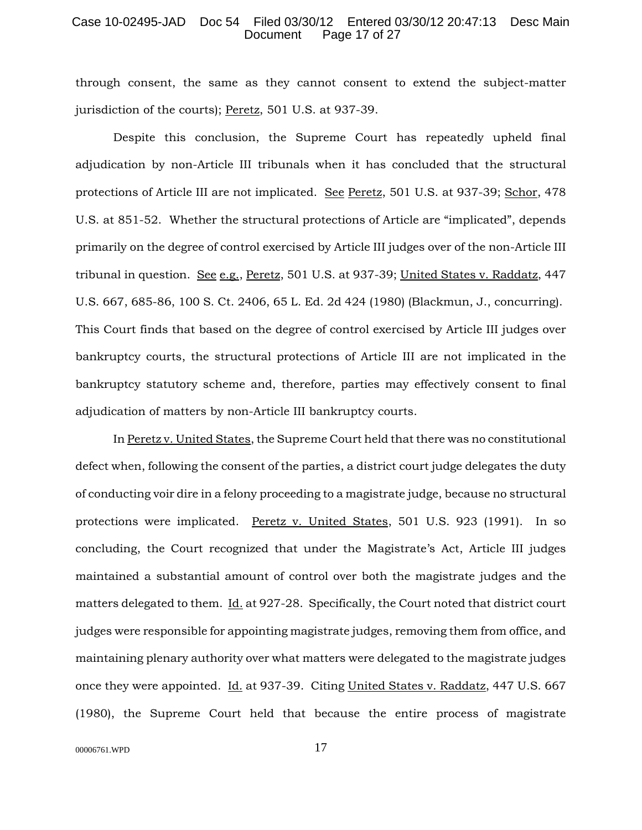### Case 10-02495-JAD Doc 54 Filed 03/30/12 Entered 03/30/12 20:47:13 Desc Main Page 17 of 27

through consent, the same as they cannot consent to extend the subject-matter jurisdiction of the courts); Peretz, 501 U.S. at 937-39.

Despite this conclusion, the Supreme Court has repeatedly upheld final adjudication by non-Article III tribunals when it has concluded that the structural protections of Article III are not implicated. See Peretz, 501 U.S. at 937-39; Schor, 478 U.S. at 851-52. Whether the structural protections of Article are "implicated", depends primarily on the degree of control exercised by Article III judges over of the non-Article III tribunal in question. See e.g., Peretz, 501 U.S. at 937-39; United States v. Raddatz, 447 U.S. 667, 685-86, 100 S. Ct. 2406, 65 L. Ed. 2d 424 (1980) (Blackmun, J., concurring). This Court finds that based on the degree of control exercised by Article III judges over bankruptcy courts, the structural protections of Article III are not implicated in the bankruptcy statutory scheme and, therefore, parties may effectively consent to final adjudication of matters by non-Article III bankruptcy courts.

In Peretz v. United States, the Supreme Court held that there was no constitutional defect when, following the consent of the parties, a district court judge delegates the duty of conducting voir dire in a felony proceeding to a magistrate judge, because no structural protections were implicated. Peretz v. United States, 501 U.S. 923 (1991). In so concluding, the Court recognized that under the Magistrate's Act, Article III judges maintained a substantial amount of control over both the magistrate judges and the matters delegated to them.  $\underline{Id}$  at 927-28. Specifically, the Court noted that district court judges were responsible for appointing magistrate judges, removing them from office, and maintaining plenary authority over what matters were delegated to the magistrate judges once they were appointed. Id*.* at 937-39. Citing United States v. Raddatz, 447 U.S. 667 (1980), the Supreme Court held that because the entire process of magistrate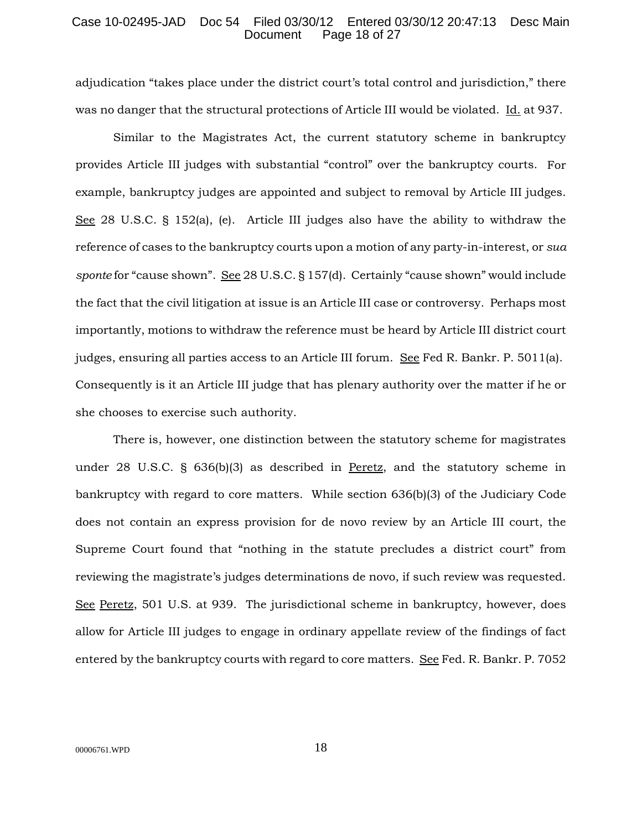### Case 10-02495-JAD Doc 54 Filed 03/30/12 Entered 03/30/12 20:47:13 Desc Main Page 18 of 27

adjudication "takes place under the district court's total control and jurisdiction," there was no danger that the structural protections of Article III would be violated. Id. at 937.

Similar to the Magistrates Act, the current statutory scheme in bankruptcy provides Article III judges with substantial "control" over the bankruptcy courts. For example, bankruptcy judges are appointed and subject to removal by Article III judges. See 28 U.S.C. § 152(a), (e). Article III judges also have the ability to withdraw the reference of cases to the bankruptcy courts upon a motion of any party-in-interest, or *sua sponte* for "cause shown". See 28 U.S.C. § 157(d). Certainly "cause shown" would include the fact that the civil litigation at issue is an Article III case or controversy. Perhaps most importantly, motions to withdraw the reference must be heard by Article III district court judges, ensuring all parties access to an Article III forum. See Fed R. Bankr. P. 5011(a). Consequently is it an Article III judge that has plenary authority over the matter if he or she chooses to exercise such authority.

There is, however, one distinction between the statutory scheme for magistrates under 28 U.S.C. § 636(b)(3) as described in Peretz, and the statutory scheme in bankruptcy with regard to core matters. While section 636(b)(3) of the Judiciary Code does not contain an express provision for de novo review by an Article III court, the Supreme Court found that "nothing in the statute precludes a district court" from reviewing the magistrate's judges determinations de novo, if such review was requested. See Peretz, 501 U.S. at 939. The jurisdictional scheme in bankruptcy, however, does allow for Article III judges to engage in ordinary appellate review of the findings of fact entered by the bankruptcy courts with regard to core matters. See Fed. R. Bankr. P. 7052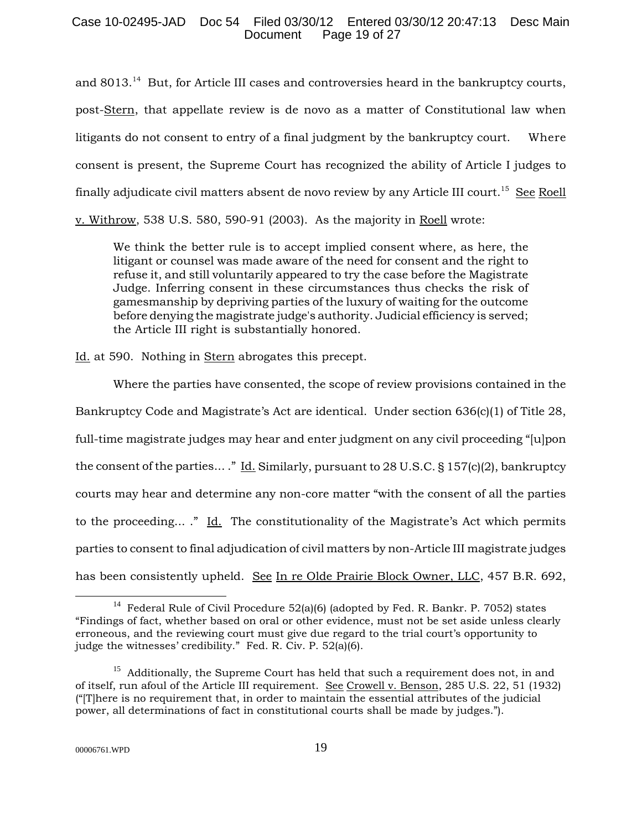# Case 10-02495-JAD Doc 54 Filed 03/30/12 Entered 03/30/12 20:47:13 Desc Main Page 19 of 27

and 8013.<sup>14</sup> But, for Article III cases and controversies heard in the bankruptcy courts, post-Stern, that appellate review is de novo as a matter of Constitutional law when litigants do not consent to entry of a final judgment by the bankruptcy court. Where consent is present, the Supreme Court has recognized the ability of Article I judges to finally adjudicate civil matters absent de novo review by any Article III court.<sup>15</sup> See Roell v. Withrow, 538 U.S. 580, 590-91 (2003). As the majority in Roell wrote:

We think the better rule is to accept implied consent where, as here, the litigant or counsel was made aware of the need for consent and the right to refuse it, and still voluntarily appeared to try the case before the Magistrate Judge. Inferring consent in these circumstances thus checks the risk of gamesmanship by depriving parties of the luxury of waiting for the outcome before denying the magistrate judge's authority. Judicial efficiency is served; the Article III right is substantially honored.

Id. at 590. Nothing in Stern abrogates this precept.

Where the parties have consented, the scope of review provisions contained in the Bankruptcy Code and Magistrate's Act are identical. Under section 636(c)(1) of Title 28, full-time magistrate judges may hear and enter judgment on any civil proceeding "[u]pon the consent of the parties... ." Id. Similarly, pursuant to 28 U.S.C. § 157(c)(2), bankruptcy courts may hear and determine any non-core matter "with the consent of all the parties to the proceeding... ." Id. The constitutionality of the Magistrate's Act which permits parties to consent to final adjudication of civil matters by non-Article III magistrate judges has been consistently upheld. See In re Olde Prairie Block Owner, LLC, 457 B.R. 692,

<sup>&</sup>lt;sup>14</sup> Federal Rule of Civil Procedure 52(a)(6) (adopted by Fed. R. Bankr. P. 7052) states "Findings of fact, whether based on oral or other evidence, must not be set aside unless clearly erroneous, and the reviewing court must give due regard to the trial court's opportunity to judge the witnesses' credibility." Fed. R. Civ. P. 52(a)(6).

 $15$  Additionally, the Supreme Court has held that such a requirement does not, in and of itself, run afoul of the Article III requirement. See Crowell v. Benson, 285 U.S. 22, 51 (1932) ("[T]here is no requirement that, in order to maintain the essential attributes of the judicial power, all determinations of fact in constitutional courts shall be made by judges.").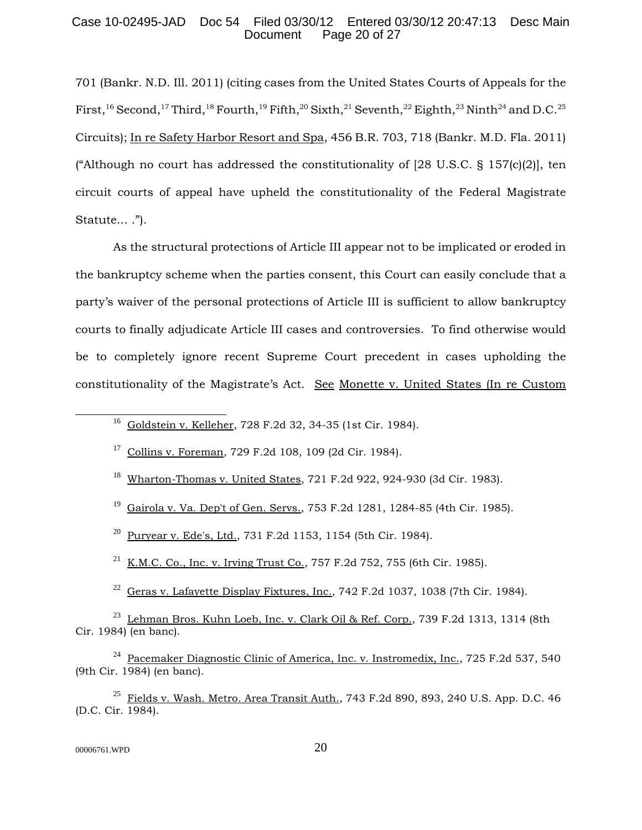# Case 10-02495-JAD Doc 54 Filed 03/30/12 Entered 03/30/12 20:47:13 Desc Main Page 20 of 27

701 (Bankr. N.D. Ill. 2011) (citing cases from the United States Courts of Appeals for the First,<sup>16</sup> Second,<sup>17</sup> Third,<sup>18</sup> Fourth,<sup>19</sup> Fifth,<sup>20</sup> Sixth,<sup>21</sup> Seventh,<sup>22</sup> Eighth,<sup>23</sup> Ninth<sup>24</sup> and D.C.<sup>25</sup> Circuits); In re Safety Harbor Resort and Spa, 456 B.R. 703, 718 (Bankr. M.D. Fla. 2011) ("Although no court has addressed the constitutionality of  $[28 \text{ U.S.C. } \S 157 \text{ [c]} \text{[2)}]$ , ten circuit courts of appeal have upheld the constitutionality of the Federal Magistrate Statute... .").

As the structural protections of Article III appear not to be implicated or eroded in the bankruptcy scheme when the parties consent, this Court can easily conclude that a party's waiver of the personal protections of Article III is sufficient to allow bankruptcy courts to finally adjudicate Article III cases and controversies. To find otherwise would be to completely ignore recent Supreme Court precedent in cases upholding the constitutionality of the Magistrate's Act. See Monette v. United States (In re Custom

<sup>16</sup> Goldstein v. Kelleher, 728 F.2d 32, 34-35 (1st Cir. 1984).

<sup>17</sup> Collins v. Foreman, 729 F.2d 108, 109 (2d Cir. 1984).

<sup>18</sup> Wharton-Thomas v. United States, 721 F.2d 922, 924-930 (3d Cir. 1983).

<sup>19</sup> Gairola v. Va. Dep't of Gen. Servs., 753 F.2d 1281, 1284-85 (4th Cir. 1985).

<sup>20</sup> Puryear v. Ede's, Ltd., 731 F.2d 1153, 1154 (5th Cir. 1984).

 $^{21}$  K.M.C. Co., Inc. v. Irving Trust Co., 757 F.2d 752, 755 (6th Cir. 1985).

 $^{22}$  Geras v. Lafayette Display Fixtures, Inc., 742 F.2d 1037, 1038 (7th Cir. 1984).

 $^{23}$  Lehman Bros. Kuhn Loeb, Inc. v. Clark Oil & Ref. Corp., 739 F.2d 1313, 1314 (8th Cir. 1984) (en banc).

<sup>24</sup> Pacemaker Diagnostic Clinic of America, Inc. v. Instromedix, Inc., 725 F.2d 537, 540 (9th Cir. 1984) (en banc).

 $25$  Fields v. Wash. Metro. Area Transit Auth., 743 F.2d 890, 893, 240 U.S. App. D.C. 46 (D.C. Cir. 1984).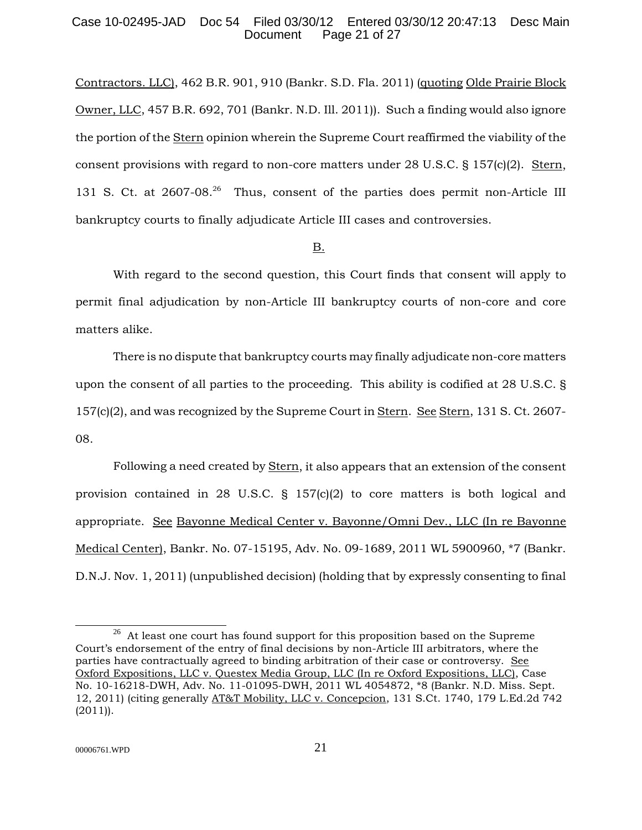# Case 10-02495-JAD Doc 54 Filed 03/30/12 Entered 03/30/12 20:47:13 Desc Main Page 21 of 27

Contractors. LLC), 462 B.R. 901, 910 (Bankr. S.D. Fla. 2011) (quoting Olde Prairie Block Owner, LLC, 457 B.R. 692, 701 (Bankr. N.D. Ill. 2011)). Such a finding would also ignore the portion of the Stern opinion wherein the Supreme Court reaffirmed the viability of the consent provisions with regard to non-core matters under 28 U.S.C.  $\S$  157(c)(2). Stern, 131 S. Ct. at 2607-08<sup>26</sup> Thus, consent of the parties does permit non-Article III bankruptcy courts to finally adjudicate Article III cases and controversies.

### B.

With regard to the second question, this Court finds that consent will apply to permit final adjudication by non-Article III bankruptcy courts of non-core and core matters alike.

There is no dispute that bankruptcy courts may finally adjudicate non-core matters upon the consent of all parties to the proceeding. This ability is codified at 28 U.S.C. § 157(c)(2), and was recognized by the Supreme Court in Stern. See Stern, 131 S. Ct. 2607- 08.

Following a need created by Stern, it also appears that an extension of the consent provision contained in 28 U.S.C.  $\S$  157(c)(2) to core matters is both logical and appropriate. See Bayonne Medical Center v. Bayonne/Omni Dev., LLC (In re Bayonne Medical Center), Bankr. No. 07-15195, Adv. No. 09-1689, 2011 WL 5900960, \*7 (Bankr. D.N.J. Nov. 1, 2011) (unpublished decision) (holding that by expressly consenting to final

 $^{26}$  At least one court has found support for this proposition based on the Supreme Court's endorsement of the entry of final decisions by non-Article III arbitrators, where the parties have contractually agreed to binding arbitration of their case or controversy. See Oxford Expositions, LLC v. Questex Media Group, LLC (In re Oxford Expositions, LLC), Case No. 10-16218-DWH, Adv. No. 11-01095-DWH, 2011 WL 4054872, \*8 (Bankr. N.D. Miss. Sept. 12, 2011) (citing generally AT&T Mobility, LLC v. Concepcion, 131 S.Ct. 1740, 179 L.Ed.2d 742  $(2011)$ .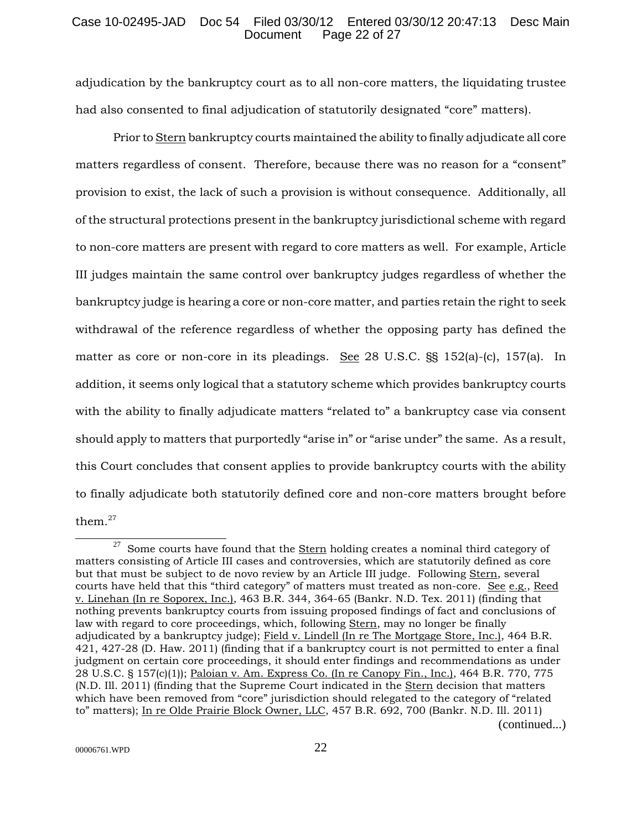# Case 10-02495-JAD Doc 54 Filed 03/30/12 Entered 03/30/12 20:47:13 Desc Main Page 22 of 27

adjudication by the bankruptcy court as to all non-core matters, the liquidating trustee had also consented to final adjudication of statutorily designated "core" matters).

Prior to Stern bankruptcy courts maintained the ability to finally adjudicate all core matters regardless of consent. Therefore, because there was no reason for a "consent" provision to exist, the lack of such a provision is without consequence. Additionally, all of the structural protections present in the bankruptcy jurisdictional scheme with regard to non-core matters are present with regard to core matters as well. For example, Article III judges maintain the same control over bankruptcy judges regardless of whether the bankruptcy judge is hearing a core or non-core matter, and parties retain the right to seek withdrawal of the reference regardless of whether the opposing party has defined the matter as core or non-core in its pleadings. See 28 U.S.C. §§ 152(a)-(c), 157(a). In addition, it seems only logical that a statutory scheme which provides bankruptcy courts with the ability to finally adjudicate matters "related to" a bankruptcy case via consent should apply to matters that purportedly "arise in" or "arise under" the same. As a result, this Court concludes that consent applies to provide bankruptcy courts with the ability to finally adjudicate both statutorily defined core and non-core matters brought before them.27

 $27$  Some courts have found that the Stern holding creates a nominal third category of matters consisting of Article III cases and controversies, which are statutorily defined as core but that must be subject to de novo review by an Article III judge. Following Stern, several courts have held that this "third category" of matters must treated as non-core. See e.g., Reed v. Linehan (In re Soporex, Inc.), 463 B.R. 344, 364-65 (Bankr. N.D. Tex. 2011) (finding that nothing prevents bankruptcy courts from issuing proposed findings of fact and conclusions of law with regard to core proceedings, which, following Stern, may no longer be finally adjudicated by a bankruptcy judge); Field v. Lindell (In re The Mortgage Store, Inc.), 464 B.R. 421, 427-28 (D. Haw. 2011) (finding that if a bankruptcy court is not permitted to enter a final judgment on certain core proceedings, it should enter findings and recommendations as under 28 U.S.C. § 157(c)(1)); Paloian v. Am. Express Co. (In re Canopy Fin., Inc.), 464 B.R. 770, 775 (N.D. Ill. 2011) (finding that the Supreme Court indicated in the Stern decision that matters which have been removed from "core" jurisdiction should relegated to the category of "related to" matters); In re Olde Prairie Block Owner, LLC, 457 B.R. 692, 700 (Bankr. N.D. Ill. 2011) (continued...)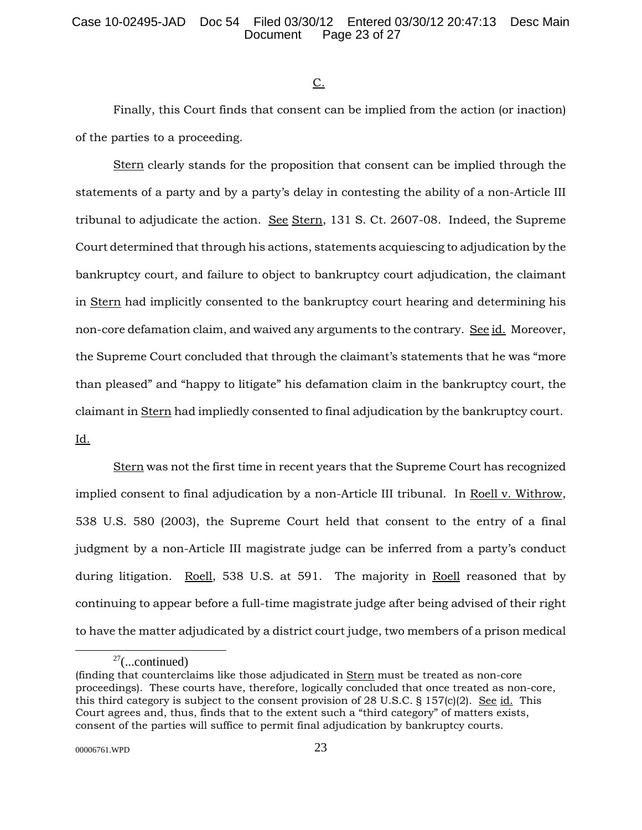$C<sub>1</sub>$ 

Finally, this Court finds that consent can be implied from the action (or inaction) of the parties to a proceeding.

Stern clearly stands for the proposition that consent can be implied through the statements of a party and by a party's delay in contesting the ability of a non-Article III tribunal to adjudicate the action. See Stern, 131 S. Ct. 2607-08. Indeed, the Supreme Court determined that through his actions, statements acquiescing to adjudication by the bankruptcy court, and failure to object to bankruptcy court adjudication, the claimant in Stern had implicitly consented to the bankruptcy court hearing and determining his non-core defamation claim, and waived any arguments to the contrary. See id. Moreover, the Supreme Court concluded that through the claimant's statements that he was "more than pleased" and "happy to litigate" his defamation claim in the bankruptcy court, the claimant in Stern had impliedly consented to final adjudication by the bankruptcy court. Id.

Stern was not the first time in recent years that the Supreme Court has recognized implied consent to final adjudication by a non-Article III tribunal. In Roell v. Withrow, 538 U.S. 580 (2003), the Supreme Court held that consent to the entry of a final judgment by a non-Article III magistrate judge can be inferred from a party's conduct during litigation. Roell, 538 U.S. at 591. The majority in Roell reasoned that by continuing to appear before a full-time magistrate judge after being advised of their right to have the matter adjudicated by a district court judge, two members of a prison medical

 $27$ (...continued)

<sup>(</sup>finding that counterclaims like those adjudicated in Stern must be treated as non-core proceedings). These courts have, therefore, logically concluded that once treated as non-core, this third category is subject to the consent provision of 28 U.S.C.  $\S 157(c)(2)$ . See id. This Court agrees and, thus, finds that to the extent such a "third category" of matters exists, consent of the parties will suffice to permit final adjudication by bankruptcy courts.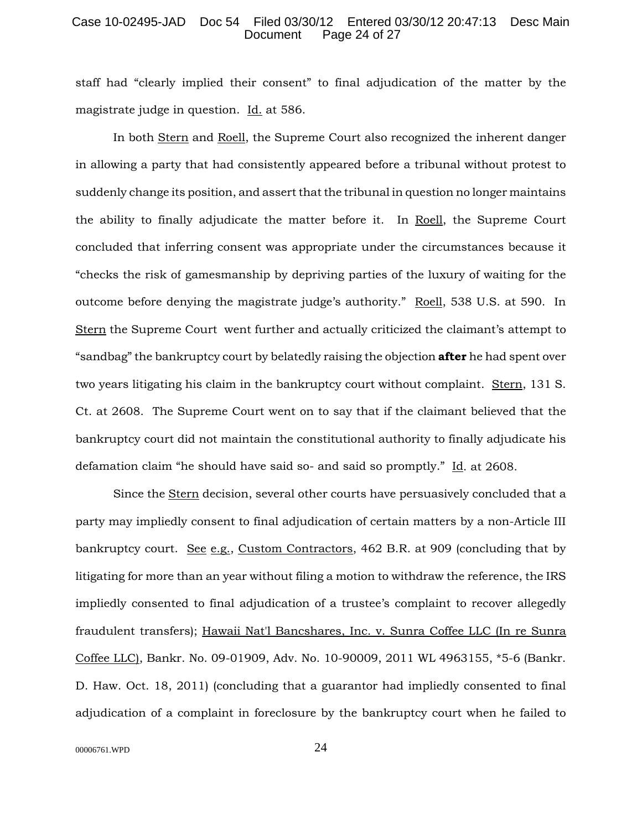### Case 10-02495-JAD Doc 54 Filed 03/30/12 Entered 03/30/12 20:47:13 Desc Main Page 24 of 27

staff had "clearly implied their consent" to final adjudication of the matter by the magistrate judge in question. Id. at 586.

In both Stern and Roell, the Supreme Court also recognized the inherent danger in allowing a party that had consistently appeared before a tribunal without protest to suddenly change its position, and assert that the tribunal in question no longer maintains the ability to finally adjudicate the matter before it. In Roell, the Supreme Court concluded that inferring consent was appropriate under the circumstances because it "checks the risk of gamesmanship by depriving parties of the luxury of waiting for the outcome before denying the magistrate judge's authority." Roell, 538 U.S. at 590. In Stern the Supreme Court went further and actually criticized the claimant's attempt to "sandbag" the bankruptcy court by belatedly raising the objection **after** he had spent over two years litigating his claim in the bankruptcy court without complaint. Stern, 131 S. Ct. at 2608. The Supreme Court went on to say that if the claimant believed that the bankruptcy court did not maintain the constitutional authority to finally adjudicate his defamation claim "he should have said so- and said so promptly." Id. at 2608.

Since the Stern decision, several other courts have persuasively concluded that a party may impliedly consent to final adjudication of certain matters by a non-Article III bankruptcy court. See e.g., Custom Contractors, 462 B.R. at 909 (concluding that by litigating for more than an year without filing a motion to withdraw the reference, the IRS impliedly consented to final adjudication of a trustee's complaint to recover allegedly fraudulent transfers); Hawaii Nat'l Bancshares, Inc. v. Sunra Coffee LLC (In re Sunra Coffee LLC), Bankr. No. 09-01909, Adv. No. 10-90009, 2011 WL 4963155, \*5-6 (Bankr. D. Haw. Oct. 18, 2011) (concluding that a guarantor had impliedly consented to final adjudication of a complaint in foreclosure by the bankruptcy court when he failed to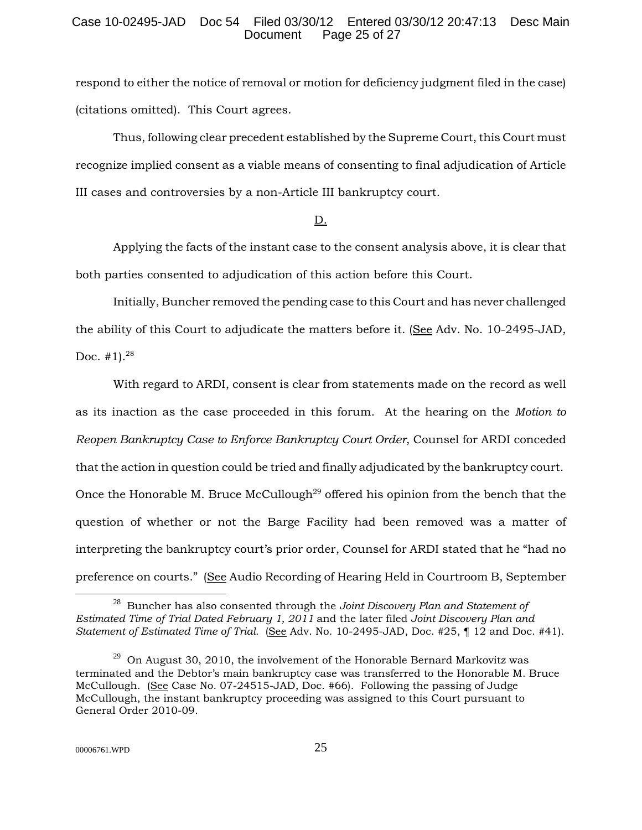# Case 10-02495-JAD Doc 54 Filed 03/30/12 Entered 03/30/12 20:47:13 Desc Main Page 25 of  $27$

respond to either the notice of removal or motion for deficiency judgment filed in the case) (citations omitted). This Court agrees.

Thus, following clear precedent established by the Supreme Court, this Court must recognize implied consent as a viable means of consenting to final adjudication of Article III cases and controversies by a non-Article III bankruptcy court.

## D.

Applying the facts of the instant case to the consent analysis above, it is clear that both parties consented to adjudication of this action before this Court.

Initially, Buncher removed the pending case to this Court and has never challenged the ability of this Court to adjudicate the matters before it. (See Adv. No. 10-2495-JAD, Doc.  $\#1$ ).<sup>28</sup>

With regard to ARDI, consent is clear from statements made on the record as well as its inaction as the case proceeded in this forum. At the hearing on the *Motion to Reopen Bankruptcy Case to Enforce Bankruptcy Court Order*, Counsel for ARDI conceded that the action in question could be tried and finally adjudicated by the bankruptcy court. Once the Honorable M. Bruce McCullough<sup>29</sup> offered his opinion from the bench that the question of whether or not the Barge Facility had been removed was a matter of interpreting the bankruptcy court's prior order, Counsel for ARDI stated that he "had no preference on courts." (See Audio Recording of Hearing Held in Courtroom B, September

<sup>28</sup> Buncher has also consented through the *Joint Discovery Plan and Statement of Estimated Time of Trial Dated February 1, 2011* and the later filed *Joint Discovery Plan and Statement of Estimated Time of Trial.* (See Adv. No. 10-2495-JAD, Doc. #25, ¶ 12 and Doc. #41).

 $29$  On August 30, 2010, the involvement of the Honorable Bernard Markovitz was terminated and the Debtor's main bankruptcy case was transferred to the Honorable M. Bruce McCullough. (See Case No. 07-24515-JAD, Doc. #66). Following the passing of Judge McCullough, the instant bankruptcy proceeding was assigned to this Court pursuant to General Order 2010-09.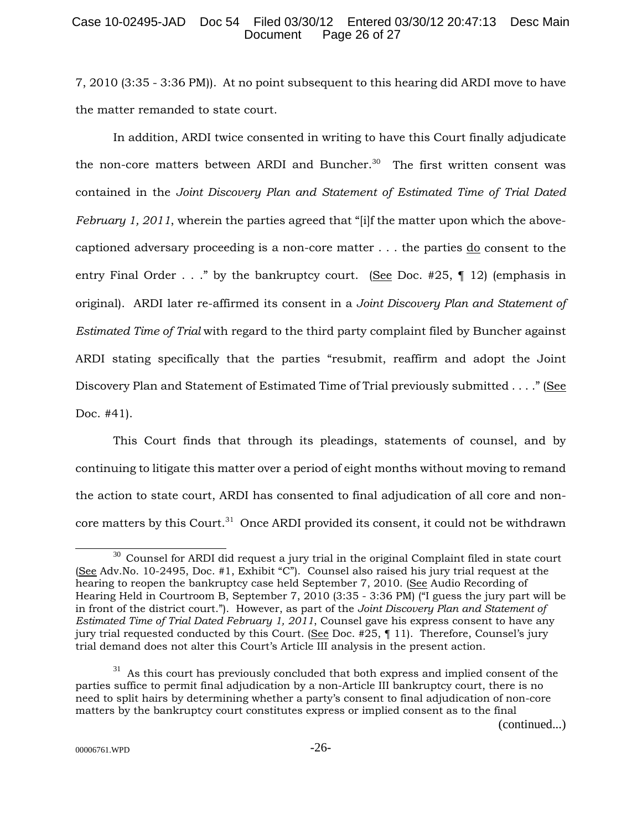# Case 10-02495-JAD Doc 54 Filed 03/30/12 Entered 03/30/12 20:47:13 Desc Main Page 26 of 27

7, 2010 (3:35 - 3:36 PM)). At no point subsequent to this hearing did ARDI move to have the matter remanded to state court.

In addition, ARDI twice consented in writing to have this Court finally adjudicate the non-core matters between ARDI and Buncher.<sup>30</sup> The first written consent was contained in the *Joint Discovery Plan and Statement of Estimated Time of Trial Dated February 1, 2011*, wherein the parties agreed that "[i]f the matter upon which the abovecaptioned adversary proceeding is a non-core matter  $\dots$  the parties  $\underline{do}$  consent to the entry Final Order . . ." by the bankruptcy court. (See Doc. #25, ¶ 12) (emphasis in original). ARDI later re-affirmed its consent in a *Joint Discovery Plan and Statement of Estimated Time of Trial* with regard to the third party complaint filed by Buncher against ARDI stating specifically that the parties "resubmit, reaffirm and adopt the Joint Discovery Plan and Statement of Estimated Time of Trial previously submitted . . . ." (See Doc. #41).

This Court finds that through its pleadings, statements of counsel, and by continuing to litigate this matter over a period of eight months without moving to remand the action to state court, ARDI has consented to final adjudication of all core and noncore matters by this Court.<sup>31</sup> Once ARDI provided its consent, it could not be withdrawn

 $30$  Counsel for ARDI did request a jury trial in the original Complaint filed in state court (See Adv.No. 10-2495, Doc. #1, Exhibit "C"). Counsel also raised his jury trial request at the hearing to reopen the bankruptcy case held September 7, 2010. (See Audio Recording of Hearing Held in Courtroom B, September 7, 2010 (3:35 - 3:36 PM) ("I guess the jury part will be in front of the district court."). However, as part of the *Joint Discovery Plan and Statement of Estimated Time of Trial Dated February 1, 2011*, Counsel gave his express consent to have any jury trial requested conducted by this Court. (See Doc. #25, ¶ 11). Therefore, Counsel's jury trial demand does not alter this Court's Article III analysis in the present action.

 $31$  As this court has previously concluded that both express and implied consent of the parties suffice to permit final adjudication by a non-Article III bankruptcy court, there is no need to split hairs by determining whether a party's consent to final adjudication of non-core matters by the bankruptcy court constitutes express or implied consent as to the final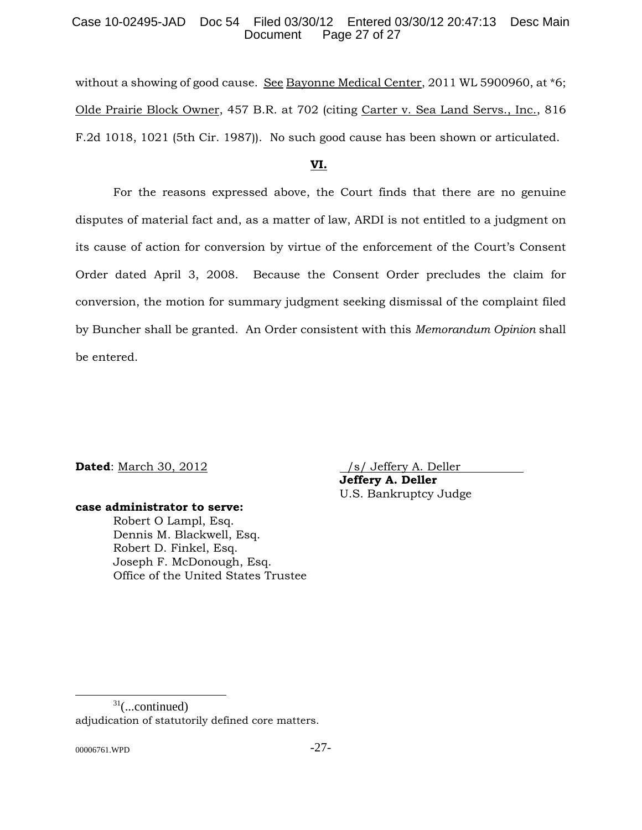# Case 10-02495-JAD Doc 54 Filed 03/30/12 Entered 03/30/12 20:47:13 Desc Main Page 27 of 27

without a showing of good cause. See Bayonne Medical Center, 2011 WL 5900960, at \*6; Olde Prairie Block Owner, 457 B.R. at 702 (citing Carter v. Sea Land Servs., Inc., 816 F.2d 1018, 1021 (5th Cir. 1987)). No such good cause has been shown or articulated.

# **VI.**

For the reasons expressed above, the Court finds that there are no genuine disputes of material fact and, as a matter of law, ARDI is not entitled to a judgment on its cause of action for conversion by virtue of the enforcement of the Court's Consent Order dated April 3, 2008. Because the Consent Order precludes the claim for conversion, the motion for summary judgment seeking dismissal of the complaint filed by Buncher shall be granted. An Order consistent with this *Memorandum Opinion* shall be entered.

**Dated**: March 30, 2012 /s/ Jeffery A. Deller

**Jeffery A. Deller** U.S. Bankruptcy Judge

### **case administrator to serve:**

Robert O Lampl, Esq. Dennis M. Blackwell, Esq. Robert D. Finkel, Esq. Joseph F. McDonough, Esq. Office of the United States Trustee

 $31$ (...continued) adjudication of statutorily defined core matters.